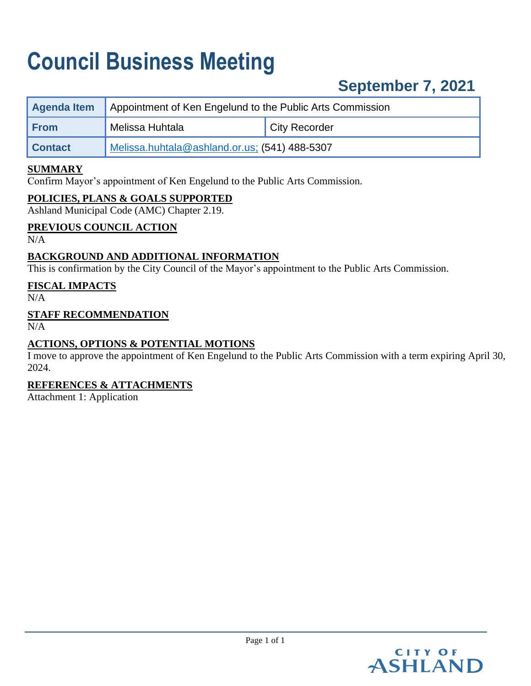# **Council Business Meeting**

## **September 7, 2021**

| <b>Agenda Item</b> | Appointment of Ken Engelund to the Public Arts Commission |                      |  |
|--------------------|-----------------------------------------------------------|----------------------|--|
| <b>From</b>        | Melissa Huhtala                                           | <b>City Recorder</b> |  |
| <b>Contact</b>     | Melissa.huhtala@ashland.or.us; (541) 488-5307             |                      |  |

#### **SUMMARY**

Confirm Mayor's appointment of Ken Engelund to the Public Arts Commission.

#### **POLICIES, PLANS & GOALS SUPPORTED**

Ashland Municipal Code (AMC) Chapter 2.19.

#### **PREVIOUS COUNCIL ACTION**

N/A

#### **BACKGROUND AND ADDITIONAL INFORMATION**

This is confirmation by the City Council of the Mayor's appointment to the Public Arts Commission.

#### **FISCAL IMPACTS**

 $N/A$ 

#### **STAFF RECOMMENDATION**

N/A

#### **ACTIONS, OPTIONS & POTENTIAL MOTIONS**

I move to approve the appointment of Ken Engelund to the Public Arts Commission with a term expiring April 30, 2024.

#### **REFERENCES & ATTACHMENTS**

Attachment 1: Application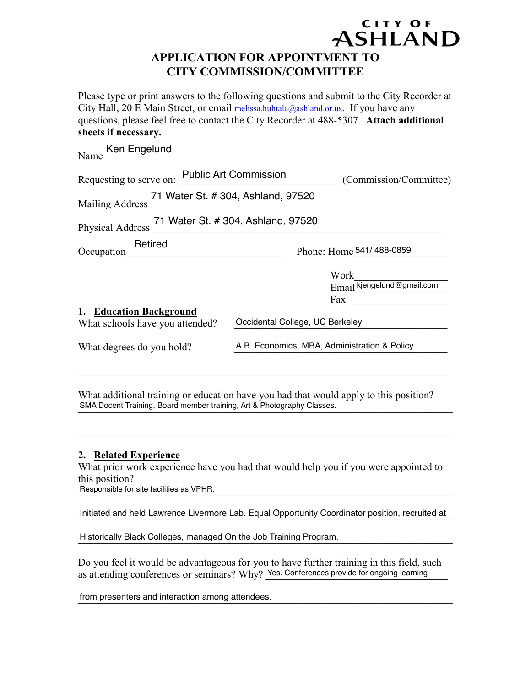### ASHLAND **APPLICATION FOR APPOINTMENT TO CITY COMMISSION/COMMITTEE**

CITY OF

Please type or print answers to the following questions and submit to the City Recorder at City Hall, 20 E Main Street, or email [melissa.huhtala@ashland.or.us.](mailto:melissa.huhtala@ashland.or.us) If you have any questions, please feel free to contact the City Recorder at 488-5307. **Attach additional sheets if necessary.**

| Ken Engelund<br>Name                                       |                                              |                        |                            |
|------------------------------------------------------------|----------------------------------------------|------------------------|----------------------------|
| Requesting to serve on: Public Art Commission              |                                              | (Commission/Committee) |                            |
| 71 Water St. # 304, Ashland, 97520<br>Mailing Address      |                                              |                        |                            |
| Physical Address 71 Water St. # 304, Ashland, 97520        |                                              |                        |                            |
| Retired<br>Occupation $\frac{1}{2}$                        |                                              |                        | Phone: Home 541/488-0859   |
|                                                            |                                              |                        | Work                       |
|                                                            |                                              |                        | Email kjengelund@gmail.com |
|                                                            |                                              |                        | Fax                        |
| 1. Education Background<br>What schools have you attended? | Occidental College, UC Berkeley              |                        |                            |
| What degrees do you hold?                                  | A.B. Economics, MBA, Administration & Policy |                        |                            |
|                                                            |                                              |                        |                            |

What additional training or education have you had that would apply to this position? SMA Docent Training, Board member training, Art & Photography Classes.

#### **2. Related Experience**

What prior work experience have you had that would help you if you were appointed to this position?

 $\mathcal{L}_\text{max}$  , and the contribution of the contribution of the contribution of the contribution of the contribution of the contribution of the contribution of the contribution of the contribution of the contribution of t

Responsible for site facilities as VPHR.

Responsible for site facilities as VPHR.<br>Initiated and held Lawrence Livermore Lab. Equal Opportunity Coordinator position, recruited at

Historically Black Colleges, managed On the Job Training Program.

Do you feel it would be advantageous for you to have further training in this field, such as attending conferences or seminars? Why? Yes. Conferences provide for ongoing learning from presenters and interaction among attendees.

from presenters and interaction among attendees.